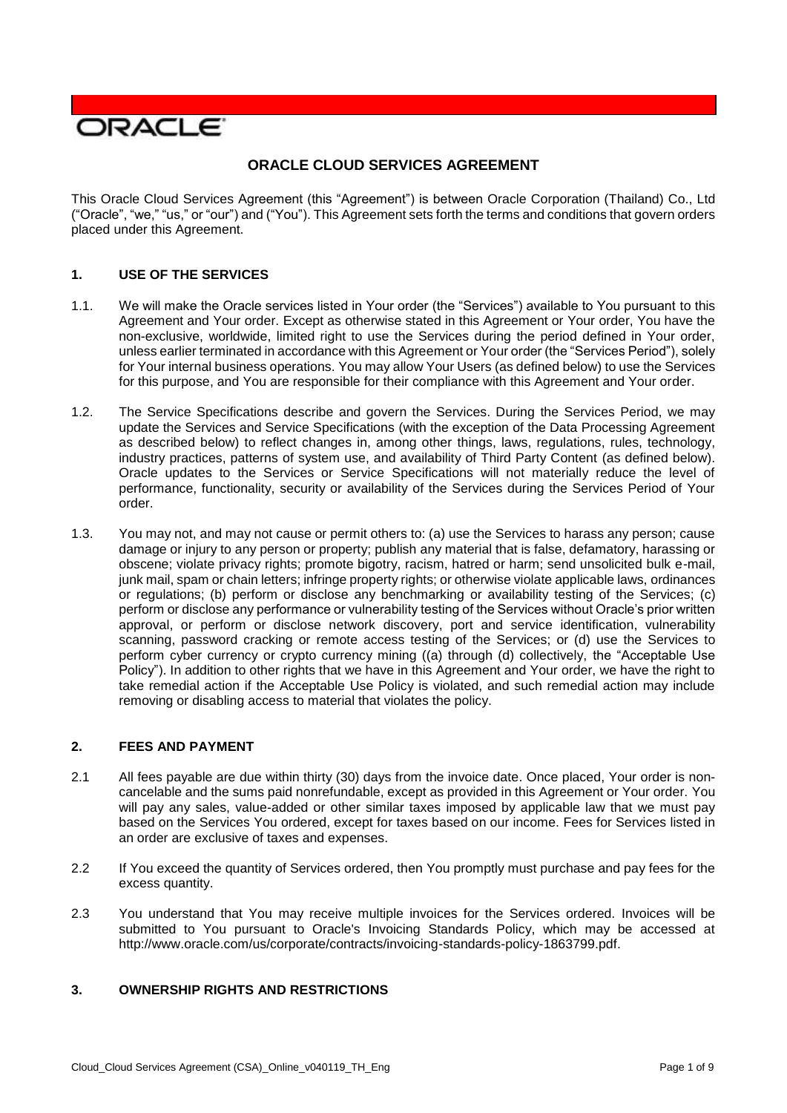

# **ORACLE CLOUD SERVICES AGREEMENT**

 This Oracle Cloud Services Agreement (this "Agreement") is between Oracle Corporation (Thailand) Co., Ltd ("Oracle", "we," "us," or "our") and ("You"). This Agreement sets forth the terms and conditions that govern orders placed under this Agreement.

## **1. USE OF THE SERVICES**

- 1.1. We will make the Oracle services listed in Your order (the "Services") available to You pursuant to this Agreement and Your order. Except as otherwise stated in this Agreement or Your order, You have the non-exclusive, worldwide, limited right to use the Services during the period defined in Your order, unless earlier terminated in accordance with this Agreement or Your order (the "Services Period"), solely for Your internal business operations. You may allow Your Users (as defined below) to use the Services for this purpose, and You are responsible for their compliance with this Agreement and Your order.
- 1.2. The Service Specifications describe and govern the Services. During the Services Period, we may update the Services and Service Specifications (with the exception of the Data Processing Agreement industry practices, patterns of system use, and availability of Third Party Content (as defined below). Oracle updates to the Services or Service Specifications will not materially reduce the level of performance, functionality, security or availability of the Services during the Services Period of Your as described below) to reflect changes in, among other things, laws, regulations, rules, technology, order.
- 1.3. You may not, and may not cause or permit others to: (a) use the Services to harass any person; cause damage or injury to any person or property; publish any material that is false, defamatory, harassing or obscene; violate privacy rights; promote bigotry, racism, hatred or harm; send unsolicited bulk e-mail, junk mail, spam or chain letters; infringe property rights; or otherwise violate applicable laws, ordinances or regulations; (b) perform or disclose any benchmarking or availability testing of the Services; (c) perform or disclose any performance or vulnerability testing of the Services without Oracle's prior written approval, or perform or disclose network discovery, port and service identification, vulnerability scanning, password cracking or remote access testing of the Services; or (d) use the Services to perform cyber currency or crypto currency mining ((a) through (d) collectively, the "Acceptable Use Policy"). In addition to other rights that we have in this Agreement and Your order, we have the right to take remedial action if the Acceptable Use Policy is violated, and such remedial action may include removing or disabling access to material that violates the policy.

## **2. FEES AND PAYMENT**

- 2.1 All fees payable are due within thirty (30) days from the invoice date. Once placed, Your order is non- cancelable and the sums paid nonrefundable, except as provided in this Agreement or Your order. You will pay any sales, value-added or other similar taxes imposed by applicable law that we must pay based on the Services You ordered, except for taxes based on our income. Fees for Services listed in an order are exclusive of taxes and expenses.
- 2.2 If You exceed the quantity of Services ordered, then You promptly must purchase and pay fees for the excess quantity.
- 2.3 You understand that You may receive multiple invoices for the Services ordered. Invoices will be submitted to You pursuant to Oracle's Invoicing Standards Policy, which may be accessed at [http://www.oracle.com/us/corporate/contracts/invoicing-standards-policy-1863799.pdf.](http://www.oracle.com/us/corporate/contracts/invoicing-standards-policy-1863799.pdf)

## **3. OWNERSHIP RIGHTS AND RESTRICTIONS**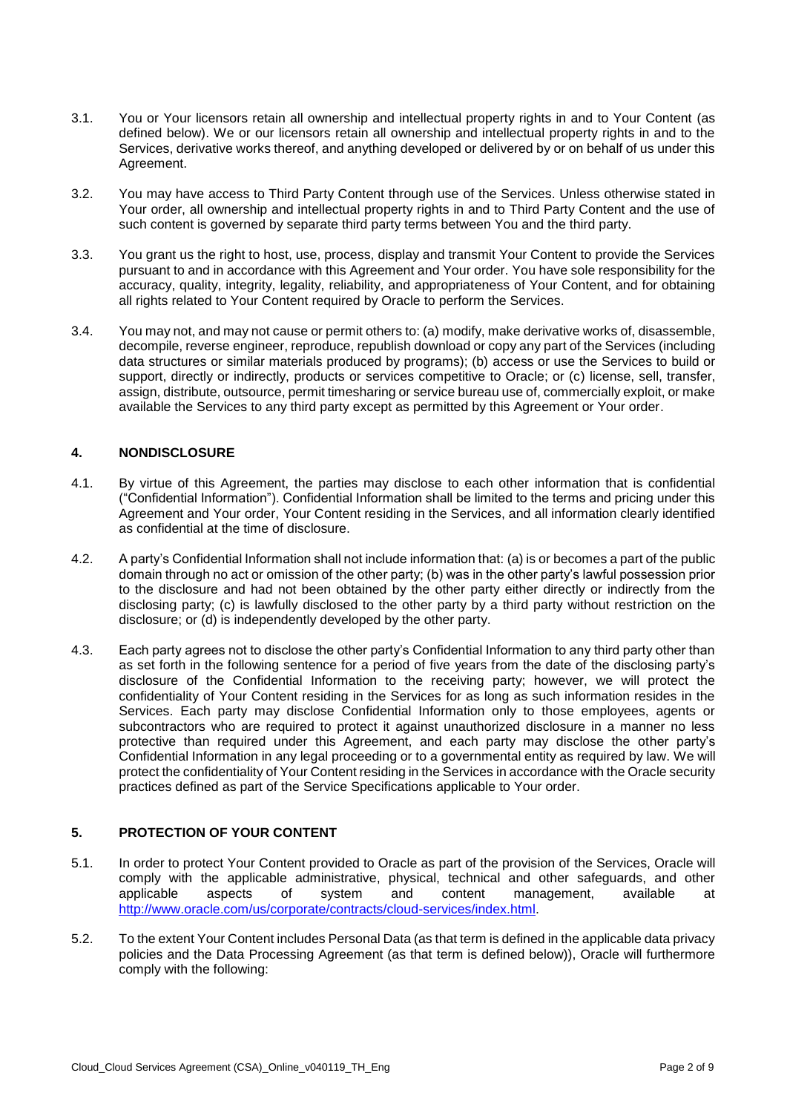- 3.1. You or Your licensors retain all ownership and intellectual property rights in and to Your Content (as defined below). We or our licensors retain all ownership and intellectual property rights in and to the Services, derivative works thereof, and anything developed or delivered by or on behalf of us under this Agreement.
- 3.2. You may have access to Third Party Content through use of the Services. Unless otherwise stated in Your order, all ownership and intellectual property rights in and to Third Party Content and the use of such content is governed by separate third party terms between You and the third party.
- 3.3. You grant us the right to host, use, process, display and transmit Your Content to provide the Services accuracy, quality, integrity, legality, reliability, and appropriateness of Your Content, and for obtaining pursuant to and in accordance with this Agreement and Your order. You have sole responsibility for the all rights related to Your Content required by Oracle to perform the Services.
- 3.4. You may not, and may not cause or permit others to: (a) modify, make derivative works of, disassemble, decompile, reverse engineer, reproduce, republish download or copy any part of the Services (including data structures or similar materials produced by programs); (b) access or use the Services to build or support, directly or indirectly, products or services competitive to Oracle; or (c) license, sell, transfer, available the Services to any third party except as permitted by this Agreement or Your order. assign, distribute, outsource, permit timesharing or service bureau use of, commercially exploit, or make

## **4. NONDISCLOSURE**

- 4.1. By virtue of this Agreement, the parties may disclose to each other information that is confidential Agreement and Your order, Your Content residing in the Services, and all information clearly identified ("Confidential Information"). Confidential Information shall be limited to the terms and pricing under this as confidential at the time of disclosure.
- 4.2. A party's Confidential Information shall not include information that: (a) is or becomes a part of the public domain through no act or omission of the other party; (b) was in the other party's lawful possession prior to the disclosure and had not been obtained by the other party either directly or indirectly from the disclosing party; (c) is lawfully disclosed to the other party by a third party without restriction on the disclosure; or (d) is independently developed by the other party.
- 4.3. Each party agrees not to disclose the other party's Confidential Information to any third party other than as set forth in the following sentence for a period of five years from the date of the disclosing party's disclosure of the Confidential Information to the receiving party; however, we will protect the confidentiality of Your Content residing in the Services for as long as such information resides in the Services. Each party may disclose Confidential Information only to those employees, agents or subcontractors who are required to protect it against unauthorized disclosure in a manner no less protective than required under this Agreement, and each party may disclose the other party's Confidential Information in any legal proceeding or to a governmental entity as required by law. We will protect the confidentiality of Your Content residing in the Services in accordance with the Oracle security practices defined as part of the Service Specifications applicable to Your order.

# **5. PROTECTION OF YOUR CONTENT**

- 5.1. In order to protect Your Content provided to Oracle as part of the provision of the Services, Oracle will comply with the applicable administrative, physical, technical and other safeguards, and other aspects applicable aspects of system and content management, available at [http://www.oracle.com/us/corporate/contracts/cloud-services/index.html.](http://www.oracle.com/us/corporate/contracts/cloud-services/index.html)
- 5.2. To the extent Your Content includes Personal Data (as that term is defined in the applicable data privacy policies and the Data Processing Agreement (as that term is defined below)), Oracle will furthermore comply with the following: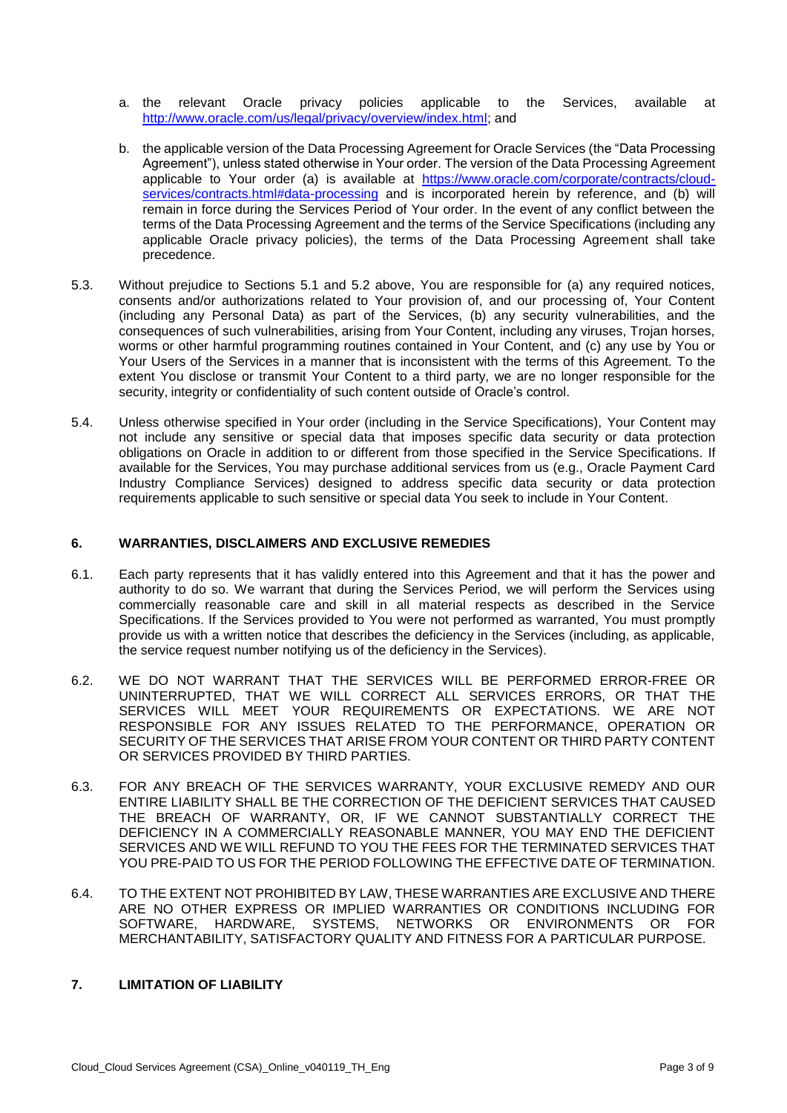- a. the relevant Oracle privacy policies applicable to [http://www.oracle.com/us/legal/privacy/overview/index.html;](http://www.oracle.com/us/legal/privacy/overview/index.html) and applicable to the Services, available at
- b. the applicable version of the Data Processing Agreement for Oracle Services (the "Data Processing Agreement"), unless stated otherwise in Your order. The version of the Data Processing Agreement applicable to Your order (a) is available at [https://www.oracle.com/corporate/contracts/cloud](https://www.oracle.com/corporate/contracts/cloud-services/contracts.html#data-processing)[services/contracts.html#data-processing](https://www.oracle.com/corporate/contracts/cloud-services/contracts.html#data-processing) and is incorporated herein by reference, and (b) will remain in force during the Services Period of Your order. In the event of any conflict between the terms of the Data Processing Agreement and the terms of the Service Specifications (including any applicable Oracle privacy policies), the terms of the Data Processing Agreement shall take precedence.
- 5.3. Without prejudice to Sections 5.1 and 5.2 above, You are responsible for (a) any required notices, consents and/or authorizations related to Your provision of, and our processing of, Your Content (including any Personal Data) as part of the Services, (b) any security vulnerabilities, and the consequences of such vulnerabilities, arising from Your Content, including any viruses, Trojan horses, worms or other harmful programming routines contained in Your Content, and (c) any use by You or Your Users of the Services in a manner that is inconsistent with the terms of this Agreement. To the extent You disclose or transmit Your Content to a third party, we are no longer responsible for the security, integrity or confidentiality of such content outside of Oracle's control.
- 5.4. Unless otherwise specified in Your order (including in the Service Specifications), Your Content may not include any sensitive or special data that imposes specific data security or data protection obligations on Oracle in addition to or different from those specified in the Service Specifications. If available for the Services, You may purchase additional services from us (e.g., Oracle Payment Card Industry Compliance Services) designed to address specific data security or data protection requirements applicable to such sensitive or special data You seek to include in Your Content.

#### **6. WARRANTIES, DISCLAIMERS AND EXCLUSIVE REMEDIES**

- 6.1. Each party represents that it has validly entered into this Agreement and that it has the power and authority to do so. We warrant that during the Services Period, we will perform the Services using commercially reasonable care and skill in all material respects as described in the Service Specifications. If the Services provided to You were not performed as warranted, You must promptly provide us with a written notice that describes the deficiency in the Services (including, as applicable, the service request number notifying us of the deficiency in the Services).
- 6.2. WE DO NOT WARRANT THAT THE SERVICES WILL BE PERFORMED ERROR-FREE OR UNINTERRUPTED, THAT WE WILL CORRECT ALL SERVICES ERRORS, OR THAT THE SERVICES WILL MEET YOUR REQUIREMENTS OR EXPECTATIONS. WE ARE NOT RESPONSIBLE FOR ANY ISSUES RELATED TO THE PERFORMANCE, OPERATION OR SECURITY OF THE SERVICES THAT ARISE FROM YOUR CONTENT OR THIRD PARTY CONTENT OR SERVICES PROVIDED BY THIRD PARTIES.
- 6.3. FOR ANY BREACH OF THE SERVICES WARRANTY, YOUR EXCLUSIVE REMEDY AND OUR ENTIRE LIABILITY SHALL BE THE CORRECTION OF THE DEFICIENT SERVICES THAT CAUSED THE BREACH OF WARRANTY, OR, IF WE CANNOT SUBSTANTIALLY CORRECT THE DEFICIENCY IN A COMMERCIALLY REASONABLE MANNER, YOU MAY END THE DEFICIENT SERVICES AND WE WILL REFUND TO YOU THE FEES FOR THE TERMINATED SERVICES THAT YOU PRE-PAID TO US FOR THE PERIOD FOLLOWING THE EFFECTIVE DATE OF TERMINATION.
- 6.4. TO THE EXTENT NOT PROHIBITED BY LAW, THESE WARRANTIES ARE EXCLUSIVE AND THERE ARE NO OTHER EXPRESS OR IMPLIED WARRANTIES OR CONDITIONS INCLUDING FOR SOFTWARE, HARDWARE, SYSTEMS, NETWORKS OR ENVIRONMENTS OR FOR MERCHANTABILITY, SATISFACTORY QUALITY AND FITNESS FOR A PARTICULAR PURPOSE.

# **7. LIMITATION OF LIABILITY**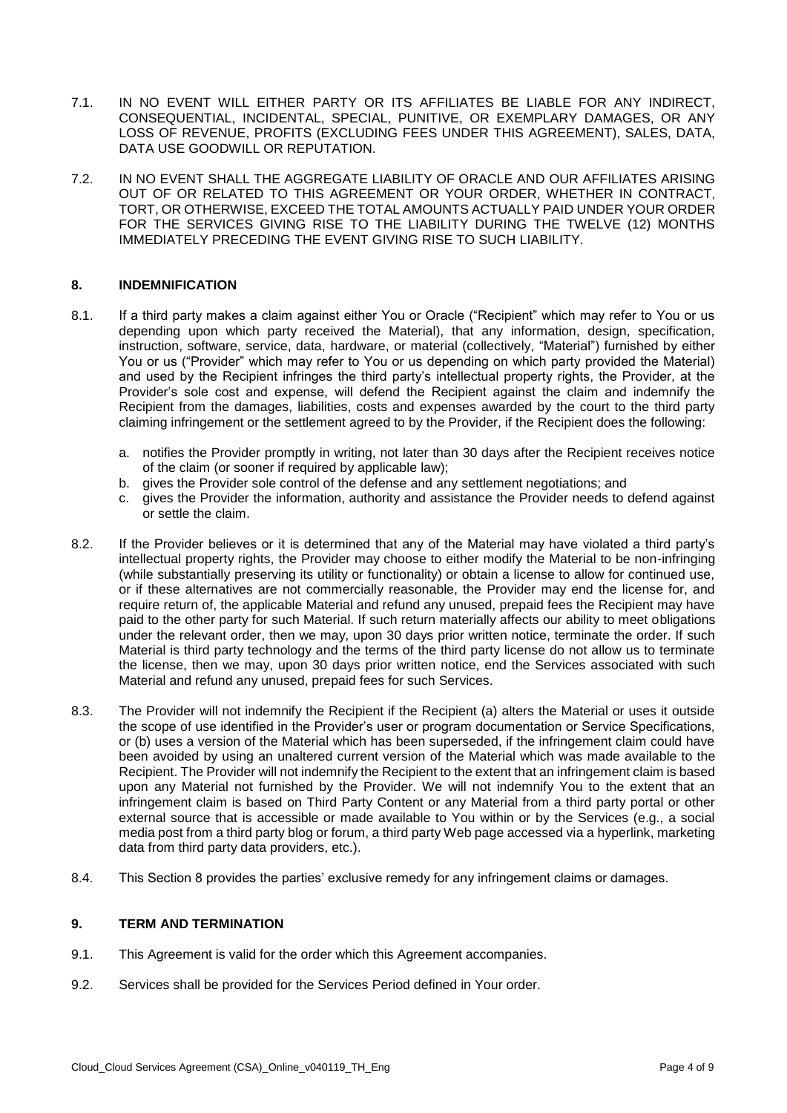- 7.1. IN NO EVENT WILL EITHER PARTY OR ITS AFFILIATES BE LIABLE FOR ANY INDIRECT, LOSS OF REVENUE, PROFITS (EXCLUDING FEES UNDER THIS AGREEMENT), SALES, DATA, CONSEQUENTIAL, INCIDENTAL, SPECIAL, PUNITIVE, OR EXEMPLARY DAMAGES, OR ANY DATA USE GOODWILL OR REPUTATION.
- 7.2. IN NO EVENT SHALL THE AGGREGATE LIABILITY OF ORACLE AND OUR AFFILIATES ARISING OUT OF OR RELATED TO THIS AGREEMENT OR YOUR ORDER, WHETHER IN CONTRACT, FOR THE SERVICES GIVING RISE TO THE LIABILITY DURING THE TWELVE (12) MONTHS TORT, OR OTHERWISE, EXCEED THE TOTAL AMOUNTS ACTUALLY PAID UNDER YOUR ORDER IMMEDIATELY PRECEDING THE EVENT GIVING RISE TO SUCH LIABILITY.

### **8. INDEMNIFICATION**

- 8.1. If a third party makes a claim against either You or Oracle ("Recipient" which may refer to You or us depending upon which party received the Material), that any information, design, specification, instruction, software, service, data, hardware, or material (collectively, "Material") furnished by either You or us ("Provider" which may refer to You or us depending on which party provided the Material) and used by the Recipient infringes the third party's intellectual property rights, the Provider, at the Provider's sole cost and expense, will defend the Recipient against the claim and indemnify the Recipient from the damages, liabilities, costs and expenses awarded by the court to the third party claiming infringement or the settlement agreed to by the Provider, if the Recipient does the following:
	- a. notifies the Provider promptly in writing, not later than 30 days after the Recipient receives notice of the claim (or sooner if required by applicable law);
	- b. gives the Provider sole control of the defense and any settlement negotiations; and
	- c. gives the Provider the information, authority and assistance the Provider needs to defend against or settle the claim.
- 8.2. If the Provider believes or it is determined that any of the Material may have violated a third party's intellectual property rights, the Provider may choose to either modify the Material to be non-infringing (while substantially preserving its utility or functionality) or obtain a license to allow for continued use, or if these alternatives are not commercially reasonable, the Provider may end the license for, and require return of, the applicable Material and refund any unused, prepaid fees the Recipient may have paid to the other party for such Material. If such return materially affects our ability to meet obligations under the relevant order, then we may, upon 30 days prior written notice, terminate the order. If such Material is third party technology and the terms of the third party license do not allow us to terminate the license, then we may, upon 30 days prior written notice, end the Services associated with such Material and refund any unused, prepaid fees for such Services.
- 8.3. The Provider will not indemnify the Recipient if the Recipient (a) alters the Material or uses it outside the scope of use identified in the Provider's user or program documentation or Service Specifications, or (b) uses a version of the Material which has been superseded, if the infringement claim could have been avoided by using an unaltered current version of the Material which was made available to the Recipient. The Provider will not indemnify the Recipient to the extent that an infringement claim is based upon any Material not furnished by the Provider. We will not indemnify You to the extent that an infringement claim is based on Third Party Content or any Material from a third party portal or other external source that is accessible or made available to You within or by the Services (e.g., a social media post from a third party blog or forum, a third party Web page accessed via a hyperlink, marketing data from third party data providers, etc.).
- 8.4. This Section 8 provides the parties' exclusive remedy for any infringement claims or damages.

#### **9. TERM AND TERMINATION**

- 9.1. This Agreement is valid for the order which this Agreement accompanies.
- 9.2. Services shall be provided for the Services Period defined in Your order.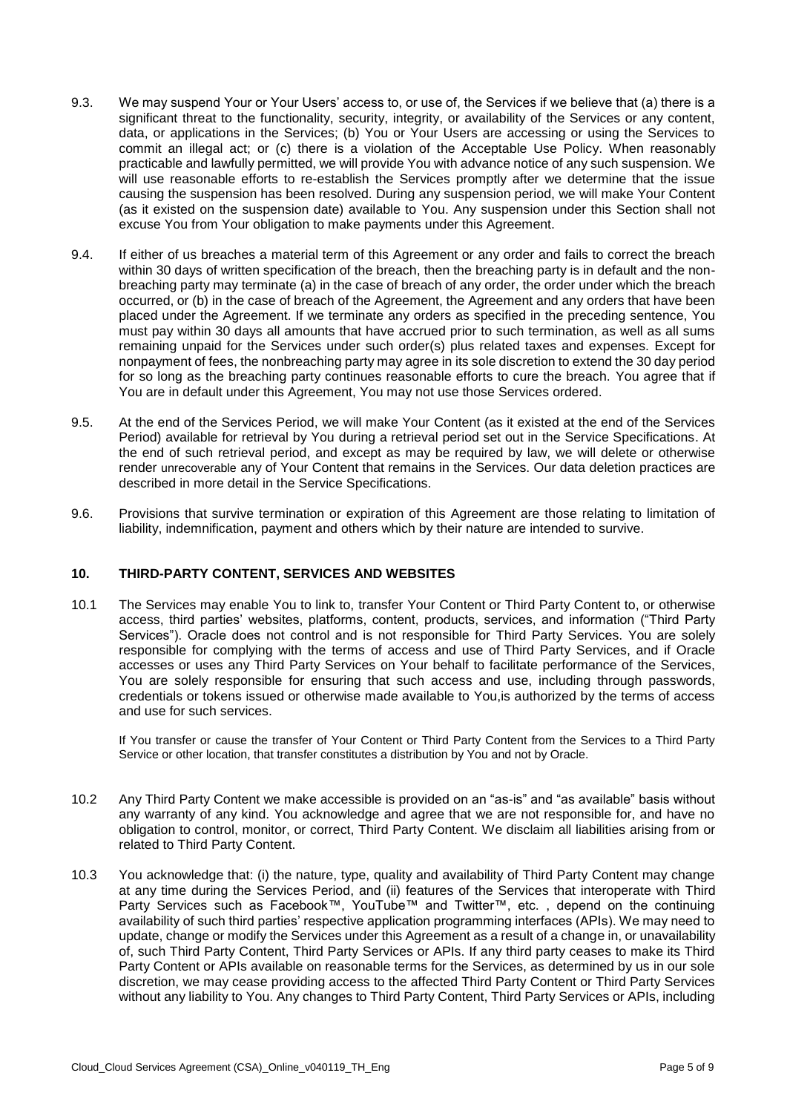- 9.3. We may suspend Your or Your Users' access to, or use of, the Services if we believe that (a) there is a significant threat to the functionality, security, integrity, or availability of the Services or any content, data, or applications in the Services; (b) You or Your Users are accessing or using the Services to commit an illegal act; or (c) there is a violation of the Acceptable Use Policy. When reasonably practicable and lawfully permitted, we will provide You with advance notice of any such suspension. We will use reasonable efforts to re-establish the Services promptly after we determine that the issue causing the suspension has been resolved. During any suspension period, we will make Your Content (as it existed on the suspension date) available to You. Any suspension under this Section shall not excuse You from Your obligation to make payments under this Agreement.
- 9.4. If either of us breaches a material term of this Agreement or any order and fails to correct the breach breaching party may terminate (a) in the case of breach of any order, the order under which the breach occurred, or (b) in the case of breach of the Agreement, the Agreement and any orders that have been placed under the Agreement. If we terminate any orders as specified in the preceding sentence, You must pay within 30 days all amounts that have accrued prior to such termination, as well as all sums remaining unpaid for the Services under such order(s) plus related taxes and expenses. Except for nonpayment of fees, the nonbreaching party may agree in its sole discretion to extend the 30 day period for so long as the breaching party continues reasonable efforts to cure the breach. You agree that if within 30 days of written specification of the breach, then the breaching party is in default and the non-You are in default under this Agreement, You may not use those Services ordered.
- 9.5. At the end of the Services Period, we will make Your Content (as it existed at the end of the Services Period) available for retrieval by You during a retrieval period set out in the Service Specifications. At the end of such retrieval period, and except as may be required by law, we will delete or otherwise render unrecoverable any of Your Content that remains in the Services. Our data deletion practices are described in more detail in the Service Specifications.
- 9.6. Provisions that survive termination or expiration of this Agreement are those relating to limitation of liability, indemnification, payment and others which by their nature are intended to survive.

#### **10. THIRD-PARTY CONTENT, SERVICES AND WEBSITES**

 10.1 The Services may enable You to link to, transfer Your Content or Third Party Content to, or otherwise Services"). Oracle does not control and is not responsible for Third Party Services. You are solely responsible for complying with the terms of access and use of Third Party Services, and if Oracle accesses or uses any Third Party Services on Your behalf to facilitate performance of the Services, You are solely responsible for ensuring that such access and use, including through passwords, credentials or tokens issued or otherwise made available to You,is authorized by the terms of access access, third parties' websites, platforms, content, products, services, and information ("Third Party and use for such services.

 If You transfer or cause the transfer of Your Content or Third Party Content from the Services to a Third Party Service or other location, that transfer constitutes a distribution by You and not by Oracle.

- 10.2 Any Third Party Content we make accessible is provided on an "as-is" and "as available" basis without any warranty of any kind. You acknowledge and agree that we are not responsible for, and have no obligation to control, monitor, or correct, Third Party Content. We disclaim all liabilities arising from or related to Third Party Content.
- 10.3 You acknowledge that: (i) the nature, type, quality and availability of Third Party Content may change at any time during the Services Period, and (ii) features of the Services that interoperate with Third availability of such third parties' respective application programming interfaces (APIs). We may need to update, change or modify the Services under this Agreement as a result of a change in, or unavailability of, such Third Party Content, Third Party Services or APIs. If any third party ceases to make its Third Party Content or APIs available on reasonable terms for the Services, as determined by us in our sole discretion, we may cease providing access to the affected Third Party Content or Third Party Services without any liability to You. Any changes to Third Party Content, Third Party Services or APIs, including Party Services such as Facebook™, YouTube™ and Twitter™, etc. , depend on the continuing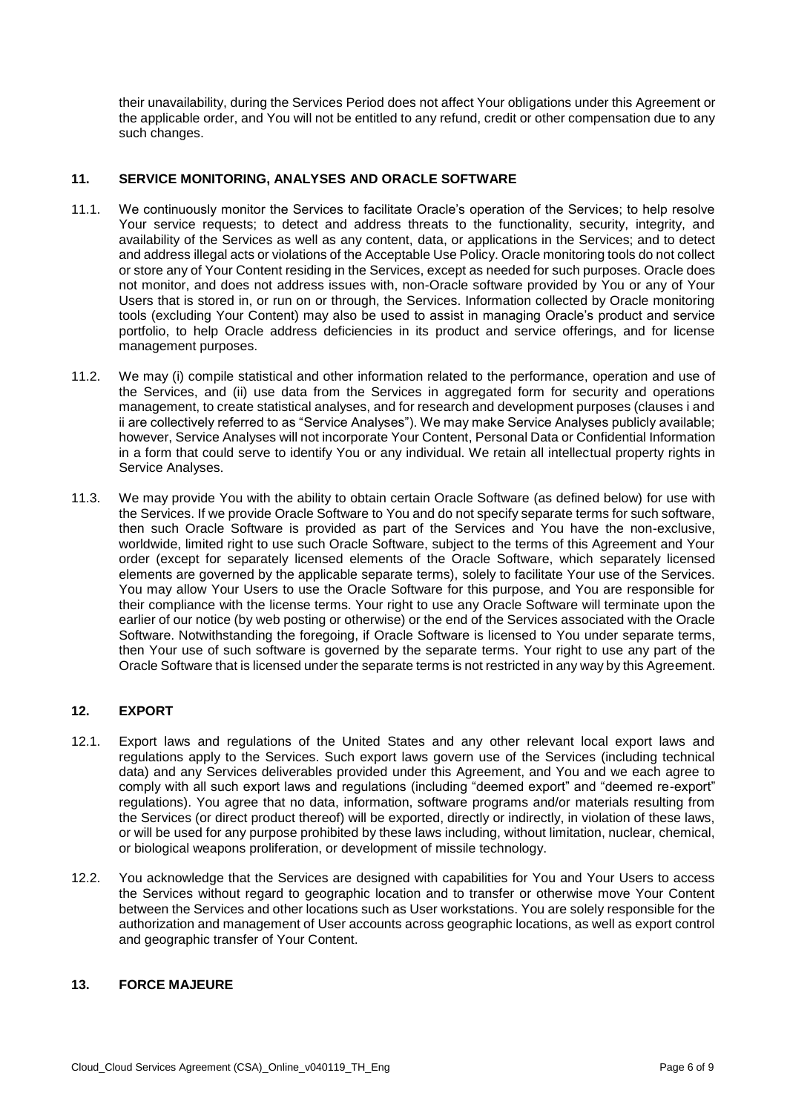their unavailability, during the Services Period does not affect Your obligations under this Agreement or the applicable order, and You will not be entitled to any refund, credit or other compensation due to any such changes.

## **11. SERVICE MONITORING, ANALYSES AND ORACLE SOFTWARE**

- 11.1. We continuously monitor the Services to facilitate Oracle's operation of the Services; to help resolve Your service requests; to detect and address threats to the functionality, security, integrity, and availability of the Services as well as any content, data, or applications in the Services; and to detect and address illegal acts or violations of the Acceptable Use Policy. Oracle monitoring tools do not collect or store any of Your Content residing in the Services, except as needed for such purposes. Oracle does not monitor, and does not address issues with, non-Oracle software provided by You or any of Your Users that is stored in, or run on or through, the Services. Information collected by Oracle monitoring tools (excluding Your Content) may also be used to assist in managing Oracle's product and service portfolio, to help Oracle address deficiencies in its product and service offerings, and for license management purposes.
- 11.2. We may (i) compile statistical and other information related to the performance, operation and use of the Services, and (ii) use data from the Services in aggregated form for security and operations management, to create statistical analyses, and for research and development purposes (clauses i and ii are collectively referred to as "Service Analyses"). We may make Service Analyses publicly available; however, Service Analyses will not incorporate Your Content, Personal Data or Confidential Information in a form that could serve to identify You or any individual. We retain all intellectual property rights in Service Analyses.
- 11.3. We may provide You with the ability to obtain certain Oracle Software (as defined below) for use with the Services. If we provide Oracle Software to You and do not specify separate terms for such software, then such Oracle Software is provided as part of the Services and You have the non-exclusive, worldwide, limited right to use such Oracle Software, subject to the terms of this Agreement and Your order (except for separately licensed elements of the Oracle Software, which separately licensed elements are governed by the applicable separate terms), solely to facilitate Your use of the Services. You may allow Your Users to use the Oracle Software for this purpose, and You are responsible for earlier of our notice (by web posting or otherwise) or the end of the Services associated with the Oracle Software. Notwithstanding the foregoing, if Oracle Software is licensed to You under separate terms, then Your use of such software is governed by the separate terms. Your right to use any part of the Oracle Software that is licensed under the separate terms is not restricted in any way by this Agreement. their compliance with the license terms. Your right to use any Oracle Software will terminate upon the

# **12. EXPORT**

- 12.1. Export laws and regulations of the United States and any other relevant local export laws and regulations apply to the Services. Such export laws govern use of the Services (including technical data) and any Services deliverables provided under this Agreement, and You and we each agree to comply with all such export laws and regulations (including "deemed export" and "deemed re-export" regulations). You agree that no data, information, software programs and/or materials resulting from or will be used for any purpose prohibited by these laws including, without limitation, nuclear, chemical, the Services (or direct product thereof) will be exported, directly or indirectly, in violation of these laws, or biological weapons proliferation, or development of missile technology.
- 12.2. You acknowledge that the Services are designed with capabilities for You and Your Users to access the Services without regard to geographic location and to transfer or otherwise move Your Content between the Services and other locations such as User workstations. You are solely responsible for the authorization and management of User accounts across geographic locations, as well as export control and geographic transfer of Your Content.

## **13. FORCE MAJEURE**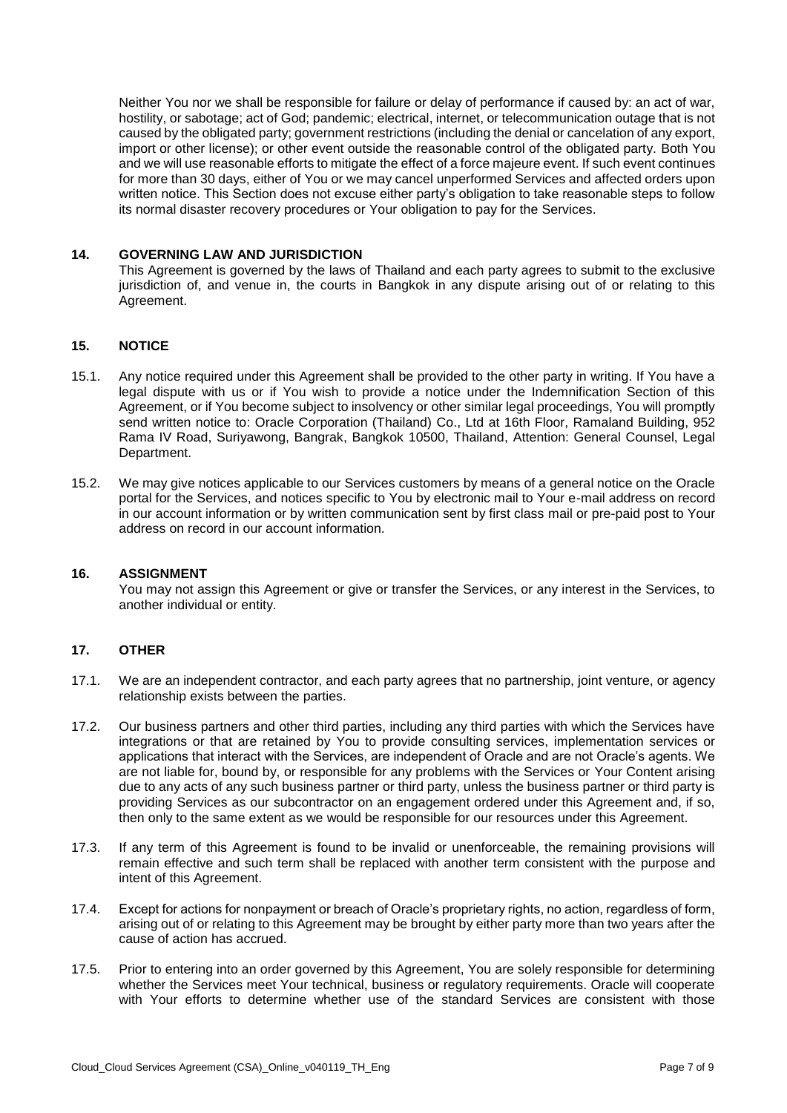Neither You nor we shall be responsible for failure or delay of performance if caused by: an act of war, hostility, or sabotage; act of God; pandemic; electrical, internet, or telecommunication outage that is not caused by the obligated party; government restrictions (including the denial or cancelation of any export, import or other license); or other event outside the reasonable control of the obligated party. Both You and we will use reasonable efforts to mitigate the effect of a force majeure event. If such event continues for more than 30 days, either of You or we may cancel unperformed Services and affected orders upon written notice. This Section does not excuse either party's obligation to take reasonable steps to follow its normal disaster recovery procedures or Your obligation to pay for the Services.

#### **14. GOVERNING LAW AND JURISDICTION**

 This Agreement is governed by the laws of Thailand and each party agrees to submit to the exclusive jurisdiction of, and venue in, the courts in Bangkok in any dispute arising out of or relating to this Agreement.

### **15. NOTICE**

- 15.1. Any notice required under this Agreement shall be provided to the other party in writing. If You have a legal dispute with us or if You wish to provide a notice under the Indemnification Section of this Agreement, or if You become subject to insolvency or other similar legal proceedings, You will promptly send written notice to: Oracle Corporation (Thailand) Co., Ltd at 16th Floor, Ramaland Building, 952 Rama IV Road, Suriyawong, Bangrak, Bangkok 10500, Thailand, Attention: General Counsel, Legal Department.
- 15.2. We may give notices applicable to our Services customers by means of a general notice on the Oracle portal for the Services, and notices specific to You by electronic mail to Your e-mail address on record in our account information or by written communication sent by first class mail or pre-paid post to Your address on record in our account information.

#### **16. ASSIGNMENT**

 You may not assign this Agreement or give or transfer the Services, or any interest in the Services, to another individual or entity.

### **17. OTHER**

- 17.1. We are an independent contractor, and each party agrees that no partnership, joint venture, or agency relationship exists between the parties.
- 17.2. Our business partners and other third parties, including any third parties with which the Services have integrations or that are retained by You to provide consulting services, implementation services or applications that interact with the Services, are independent of Oracle and are not Oracle's agents. We are not liable for, bound by, or responsible for any problems with the Services or Your Content arising due to any acts of any such business partner or third party, unless the business partner or third party is providing Services as our subcontractor on an engagement ordered under this Agreement and, if so, then only to the same extent as we would be responsible for our resources under this Agreement.
- 17.3. If any term of this Agreement is found to be invalid or unenforceable, the remaining provisions will remain effective and such term shall be replaced with another term consistent with the purpose and intent of this Agreement.
- 17.4. Except for actions for nonpayment or breach of Oracle's proprietary rights, no action, regardless of form, arising out of or relating to this Agreement may be brought by either party more than two years after the cause of action has accrued.
- 17.5. Prior to entering into an order governed by this Agreement, You are solely responsible for determining whether the Services meet Your technical, business or regulatory requirements. Oracle will cooperate with Your efforts to determine whether use of the standard Services are consistent with those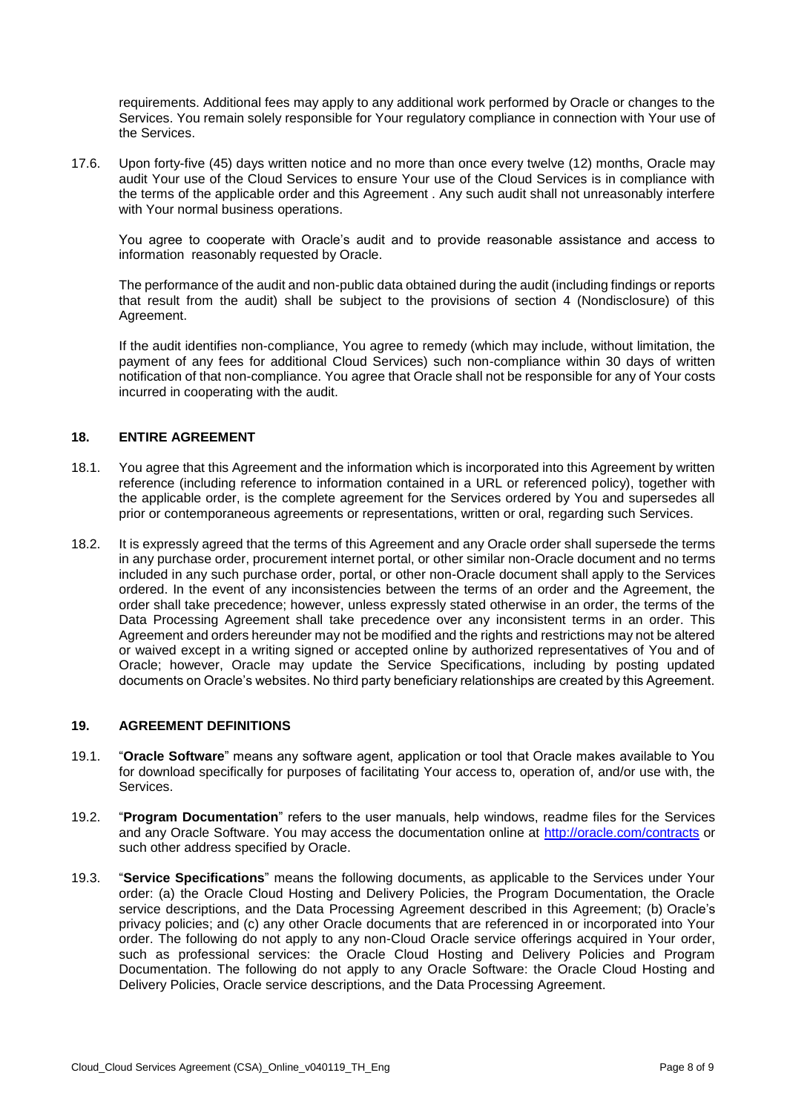requirements. Additional fees may apply to any additional work performed by Oracle or changes to the Services. You remain solely responsible for Your regulatory compliance in connection with Your use of the Services.

 17.6. Upon forty-five (45) days written notice and no more than once every twelve (12) months, Oracle may audit Your use of the Cloud Services to ensure Your use of the Cloud Services is in compliance with the terms of the applicable order and this Agreement . Any such audit shall not unreasonably interfere with Your normal business operations.

You agree to cooperate with Oracle's audit and to provide reasonable assistance and access to information reasonably requested by Oracle.

 The performance of the audit and non-public data obtained during the audit (including findings or reports that result from the audit) shall be subject to the provisions of section 4 (Nondisclosure) of this Agreement.

 If the audit identifies non-compliance, You agree to remedy (which may include, without limitation, the payment of any fees for additional Cloud Services) such non-compliance within 30 days of written notification of that non-compliance. You agree that Oracle shall not be responsible for any of Your costs incurred in cooperating with the audit.

### **18. ENTIRE AGREEMENT**

- 18.1. You agree that this Agreement and the information which is incorporated into this Agreement by written the applicable order, is the complete agreement for the Services ordered by You and supersedes all reference (including reference to information contained in a URL or referenced policy), together with prior or contemporaneous agreements or representations, written or oral, regarding such Services.
- 18.2. It is expressly agreed that the terms of this Agreement and any Oracle order shall supersede the terms in any purchase order, procurement internet portal, or other similar non-Oracle document and no terms included in any such purchase order, portal, or other non-Oracle document shall apply to the Services ordered. In the event of any inconsistencies between the terms of an order and the Agreement, the order shall take precedence; however, unless expressly stated otherwise in an order, the terms of the Data Processing Agreement shall take precedence over any inconsistent terms in an order. This Agreement and orders hereunder may not be modified and the rights and restrictions may not be altered or waived except in a writing signed or accepted online by authorized representatives of You and of Oracle; however, Oracle may update the Service Specifications, including by posting updated documents on Oracle's websites. No third party beneficiary relationships are created by this Agreement.

#### **19. AGREEMENT DEFINITIONS**

- 19.1. "**Oracle Software**" means any software agent, application or tool that Oracle makes available to You for download specifically for purposes of facilitating Your access to, operation of, and/or use with, the Services.
- 19.2. "**Program Documentation**" refers to the user manuals, help windows, readme files for the Services and any Oracle Software. You may access the documentation online at<http://oracle.com/contracts>or such other address specified by Oracle.
- 19.3. "**Service Specifications**" means the following documents, as applicable to the Services under Your order: (a) the Oracle Cloud Hosting and Delivery Policies, the Program Documentation, the Oracle privacy policies; and (c) any other Oracle documents that are referenced in or incorporated into Your order. The following do not apply to any non-Cloud Oracle service offerings acquired in Your order, such as professional services: the Oracle Cloud Hosting and Delivery Policies and Program Documentation. The following do not apply to any Oracle Software: the Oracle Cloud Hosting and Delivery Policies, Oracle service descriptions, and the Data Processing Agreement. service descriptions, and the Data Processing Agreement described in this Agreement; (b) Oracle's